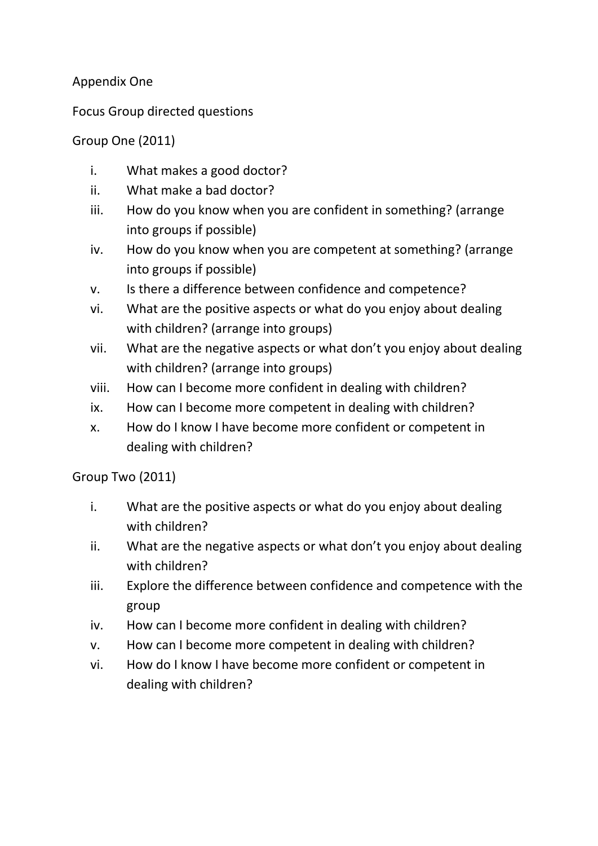## Appendix One

Focus Group directed questions

## Group One (2011)

- i. What makes a good doctor?
- ii. What make a bad doctor?
- iii. How do you know when you are confident in something? (arrange into groups if possible)
- iv. How do you know when you are competent at something? (arrange into groups if possible)
- v. Is there a difference between confidence and competence?
- vi. What are the positive aspects or what do you enjoy about dealing with children? (arrange into groups)
- vii. What are the negative aspects or what don't you enjoy about dealing with children? (arrange into groups)
- viii. How can I become more confident in dealing with children?
- ix. How can I become more competent in dealing with children?
- x. How do I know I have become more confident or competent in dealing with children?

Group Two (2011)

- i. What are the positive aspects or what do you enjoy about dealing with children?
- ii. What are the negative aspects or what don't you enjoy about dealing with children?
- iii. Explore the difference between confidence and competence with the group
- iv. How can I become more confident in dealing with children?
- v. How can I become more competent in dealing with children?
- vi. How do I know I have become more confident or competent in dealing with children?